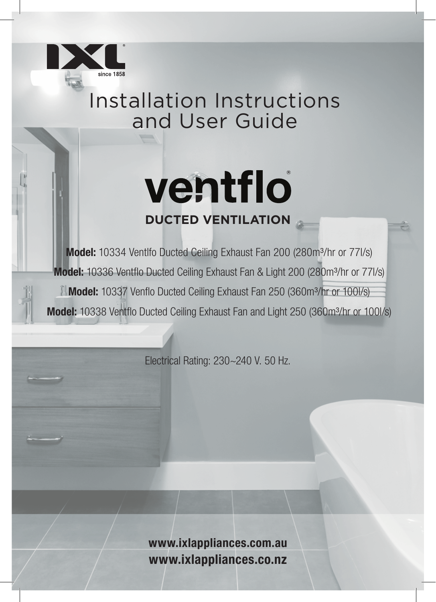

## Installation Instructions and User Guide

# ventflo **DUCTED VENTILATION**

Model: 10334 Ventlfo Ducted Ceiling Exhaust Fan 200 (280m<sup>3</sup>/hr or 77l/s) Model: 10336 Ventflo Ducted Ceiling Exhaust Fan & Light 200 (280m<sup>3</sup>/hr or 77l/s) **Model:** 10337 Venflo Ducted Ceiling Exhaust Fan 250 (360m<sup>3</sup>/hr or 100l/s) Model: 10338 Ventflo Ducted Ceiling Exhaust Fan and Light 250 (360m<sup>3</sup>/hr or 100l/s)

Electrical Rating: 230~240 V. 50 Hz.

www.ixlappliances.com.au www.ixlappliances.co.nz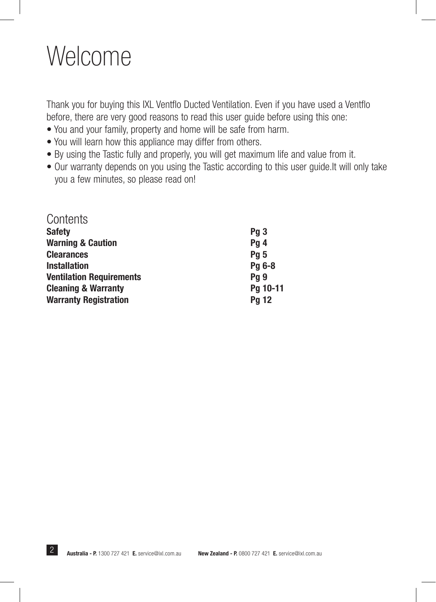## Welcome

Thank you for buying this IXL Ventflo Ducted Ventilation. Even if you have used a Ventflo before, there are very good reasons to read this user guide before using this one:

- You and your family, property and home will be safe from harm.
- You will learn how this appliance may differ from others.
- By using the Tastic fully and properly, you will get maximum life and value from it.
- Our warranty depends on you using the Tastic according to this user guide.It will only take you a few minutes, so please read on!

| Contents                        |                 |
|---------------------------------|-----------------|
| <b>Safety</b>                   | Pq3             |
| <b>Warning &amp; Caution</b>    | Pg 4            |
| <b>Clearances</b>               | Pg <sub>5</sub> |
| <b>Installation</b>             | Pg 6-8          |
| <b>Ventilation Requirements</b> | Pg <sub>9</sub> |
| <b>Cleaning &amp; Warranty</b>  | Pg 10-11        |
| <b>Warranty Registration</b>    | <b>Pg 12</b>    |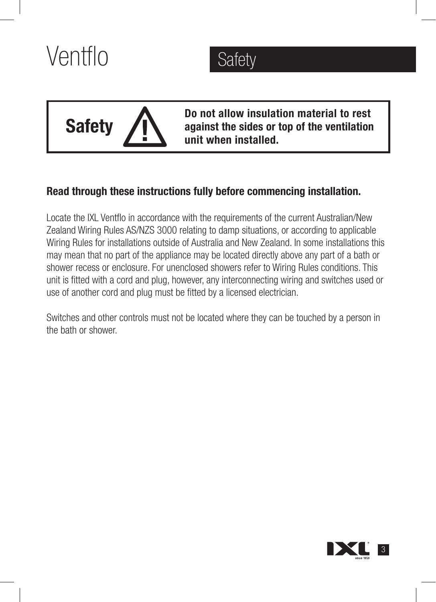



Do not allow insulation material to rest against the sides or top of the ventilation unit when installed.

## Read through these instructions fully before commencing installation.

Locate the IXL Ventflo in accordance with the requirements of the current Australian/New Zealand Wiring Rules AS/NZS 3000 relating to damp situations, or according to applicable Wiring Rules for installations outside of Australia and New Zealand. In some installations this may mean that no part of the appliance may be located directly above any part of a bath or shower recess or enclosure. For unenclosed showers refer to Wiring Rules conditions. This unit is fitted with a cord and plug, however, any interconnecting wiring and switches used or use of another cord and plug must be fitted by a licensed electrician.

Switches and other controls must not be located where they can be touched by a person in the bath or shower.

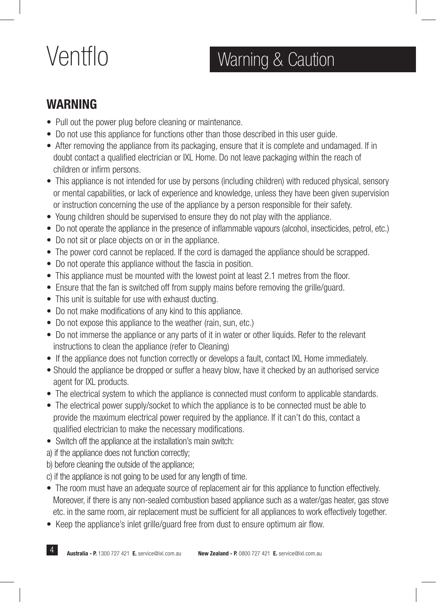## Ventflo Warning & Caution

## WARNING

- Pull out the power plug before cleaning or maintenance.
- Do not use this appliance for functions other than those described in this user guide.
- After removing the appliance from its packaging, ensure that it is complete and undamaged. If in doubt contact a qualified electrician or IXL Home. Do not leave packaging within the reach of children or infirm persons.
- This appliance is not intended for use by persons (including children) with reduced physical, sensory or mental capabilities, or lack of experience and knowledge, unless they have been given supervision or instruction concerning the use of the appliance by a person responsible for their safety.
- Young children should be supervised to ensure they do not play with the appliance.
- Do not operate the appliance in the presence of inflammable vapours (alcohol, insecticides, petrol, etc.)
- Do not sit or place objects on or in the appliance.
- The power cord cannot be replaced. If the cord is damaged the appliance should be scrapped.
- Do not operate this appliance without the fascia in position.
- This appliance must be mounted with the lowest point at least 2.1 metres from the floor.
- Ensure that the fan is switched off from supply mains before removing the grille/guard.
- This unit is suitable for use with exhaust ducting.
- Do not make modifications of any kind to this appliance.
- Do not expose this appliance to the weather (rain, sun, etc.)
- Do not immerse the appliance or any parts of it in water or other liquids. Refer to the relevant instructions to clean the appliance (refer to Cleaning)
- If the appliance does not function correctly or develops a fault, contact IXL Home immediately.
- Should the appliance be dropped or suffer a heavy blow, have it checked by an authorised service agent for IXL products.
- The electrical system to which the appliance is connected must conform to applicable standards.
- The electrical power supply/socket to which the appliance is to be connected must be able to provide the maximum electrical power required by the appliance. If it can't do this, contact a qualified electrician to make the necessary modifications.
- Switch off the appliance at the installation's main switch:
- a) if the appliance does not function correctly;
- b) before cleaning the outside of the appliance;
- c) if the appliance is not going to be used for any length of time.
- The room must have an adequate source of replacement air for this appliance to function effectively. Moreover, if there is any non-sealed combustion based appliance such as a water/gas heater, gas stove etc. in the same room, air replacement must be sufficient for all appliances to work effectively together.
- Keep the appliance's inlet grille/guard free from dust to ensure optimum air flow.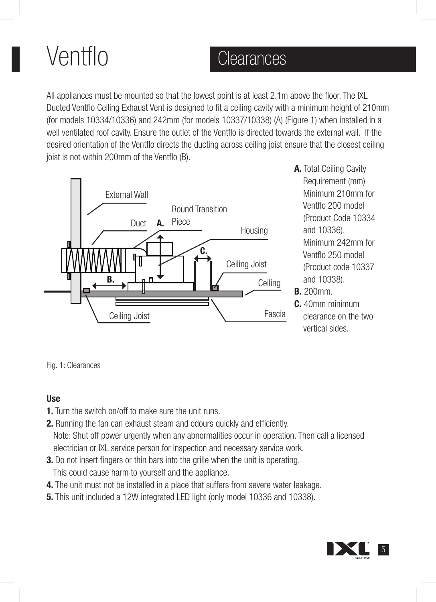# Ventflo

## **Clearances**

All appliances must be mounted so that the lowest point is at least 2.1m above the floor. The IXL Ducted Ventflo Ceiling Exhaust Vent is designed to fit a ceiling cavity with a minimum height of 210mm (for models 10334/10336) and 242mm (for models 10337/10338) (A) (Figure 1) when installed in a well ventilated roof cavity. Ensure the outlet of the Ventflo is directed towards the external wall. If the desired orientation of the Ventflo directs the ducting across ceiling joist ensure that the closest ceiling joist is not within 200mm of the Ventflo (B).



- A. Total Ceiling Cavity Requirement (mm) Minimum 210mm for Ventflo 200 model (Product Code 10334 and 10336). Minimum 242mm for Ventflo 250 model (Product code 10337 and 10338).
- B. 200mm.
- C. 40mm minimum clearance on the two vertical sides.

Fig. 1: Clearances

### Use

- 1. Turn the switch on/off to make sure the unit runs.
- 2. Running the fan can exhaust steam and odours quickly and efficiently. Note: Shut off power urgently when any abnormalities occur in operation. Then call a licensed electrician or IXL service person for inspection and necessary service work.
- **3.** Do not insert fingers or thin bars into the grille when the unit is operating. This could cause harm to yourself and the appliance.
- 4. The unit must not be installed in a place that suffers from severe water leakage.
- 5. This unit included a 12W integrated LED light (only model 10336 and 10338).

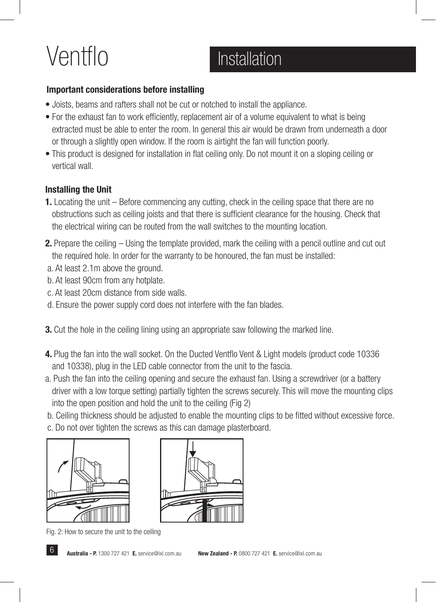# Ventflo Installation

### Important considerations before installing

- Joists, beams and rafters shall not be cut or notched to install the appliance.
- For the exhaust fan to work efficiently, replacement air of a volume equivalent to what is being extracted must be able to enter the room. In general this air would be drawn from underneath a door or through a slightly open window. If the room is airtight the fan will function poorly.
- This product is designed for installation in flat ceiling only. Do not mount it on a sloping ceiling or vertical wall.

### Installing the Unit

- 1. Locating the unit Before commencing any cutting, check in the ceiling space that there are no obstructions such as ceiling joists and that there is sufficient clearance for the housing. Check that the electrical wiring can be routed from the wall switches to the mounting location.
- 2. Prepare the ceiling Using the template provided, mark the ceiling with a pencil outline and cut out the required hole. In order for the warranty to be honoured, the fan must be installed:
- a. At least 2.1m above the ground.
- b. At least 90cm from any hotplate.
- c. At least 20cm distance from side walls.
- d. Ensure the power supply cord does not interfere with the fan blades.
- **3.** Cut the hole in the ceiling lining using an appropriate saw following the marked line.
- 4. Plug the fan into the wall socket. On the Ducted Ventflo Vent & Light models (product code 10336 and 10338), plug in the LED cable connector from the unit to the fascia.
- a. Push the fan into the ceiling opening and secure the exhaust fan. Using a screwdriver (or a battery driver with a low torque setting) partially tighten the screws securely. This will move the mounting clips into the open position and hold the unit to the ceiling (Fig 2)
- b. Ceiling thickness should be adjusted to enable the mounting clips to be fitted without excessive force.
- c. Do not over tighten the screws as this can damage plasterboard.





Fig. 2: How to secure the unit to the ceiling

**6 Australia - P.** 1300 727 421 **E.** service@ixl.com.au New Zealand - P. 0800 727 421 **E.** service@ixl.com.au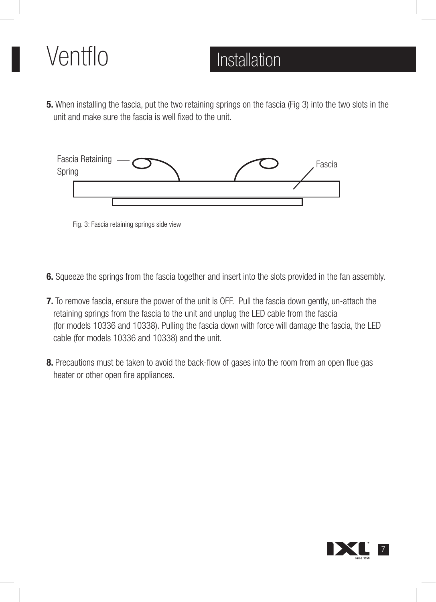## Ventflo Installation

5. When installing the fascia, put the two retaining springs on the fascia (Fig 3) into the two slots in the unit and make sure the fascia is well fixed to the unit.



Fig. 3: Fascia retaining springs side view

- 6. Squeeze the springs from the fascia together and insert into the slots provided in the fan assembly.
- **7.** To remove fascia, ensure the power of the unit is OFF. Pull the fascia down gently, un-attach the retaining springs from the fascia to the unit and unplug the LED cable from the fascia (for models 10336 and 10338). Pulling the fascia down with force will damage the fascia, the LED cable (for models 10336 and 10338) and the unit.
- 8. Precautions must be taken to avoid the back-flow of gases into the room from an open flue gas heater or other open fire appliances.

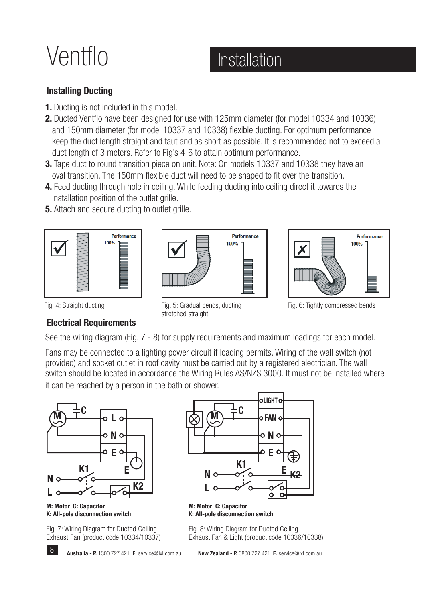# Ventflo Installation

### Installing Ducting

- 1. Ducting is not included in this model.
- 2. Ducted Ventflo have been designed for use with 125mm diameter (for model 10334 and 10336) and 150mm diameter (for model 10337 and 10338) flexible ducting. For optimum performance keep the duct length straight and taut and as short as possible. It is recommended not to exceed a duct length of 3 meters. Refer to Fig's 4-6 to attain optimum performance.
- **3.** Tape duct to round transition piece on unit. Note: On models 10337 and 10338 they have an oval transition. The 150mm flexible duct will need to be shaped to fit over the transition.
- 4. Feed ducting through hole in ceiling. While feeding ducting into ceiling direct it towards the installation position of the outlet grille.
- **5.** Attach and secure ducting to outlet grille.







Fig. 6: Tightly compressed bends

### Electrical Requirements

Fig. 4: Straight ducting Fig. 5: Gradual bends, ducting stretched straight

See the wiring diagram (Fig. 7 - 8) for supply requirements and maximum loadings for each model.

Fans may be connected to a lighting power circuit if loading permits. Wiring of the wall switch (not provided) and socket outlet in roof cavity must be carried out by a registered electrician. The wall switch should be located in accordance the Wiring Rules AS/NZS 3000. It must not be installed where it can be reached by a person in the bath or shower.



M: Motor C: Capacitor K: All-pole disconnection switch

Fig. 7: Wiring Diagram for Ducted Ceiling Exhaust Fan (product code 10334/10337)



M: Motor C: Capacitor K: All-pole disconnection switch

Fig. 8: Wiring Diagram for Ducted Ceiling Exhaust Fan & Light (product code 10336/10338)

**B** Australia - P. 1300 727 421 E. service@ixl.com.au New Zealand - P. 0800 727 421 E. service@ixl.com.au

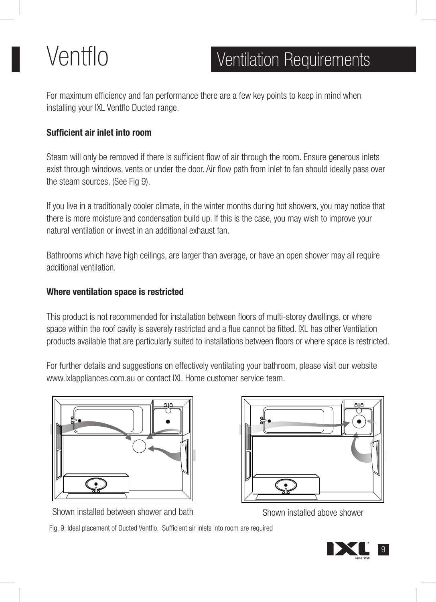## Ventflo Ventilation Requirements

For maximum efficiency and fan performance there are a few key points to keep in mind when installing your IXL Ventflo Ducted range.

### Sufficient air inlet into room

Steam will only be removed if there is sufficient flow of air through the room. Ensure generous inlets exist through windows, vents or under the door. Air flow path from inlet to fan should ideally pass over the steam sources. (See Fig 9).

If you live in a traditionally cooler climate, in the winter months during hot showers, you may notice that there is more moisture and condensation build up. If this is the case, you may wish to improve your natural ventilation or invest in an additional exhaust fan.

Bathrooms which have high ceilings, are larger than average, or have an open shower may all require additional ventilation.

### Where ventilation space is restricted

This product is not recommended for installation between floors of multi-storey dwellings, or where space within the roof cavity is severely restricted and a flue cannot be fitted. IXL has other Ventilation products available that are particularly suited to installations between floors or where space is restricted.

For further details and suggestions on effectively ventilating your bathroom, please visit our website www.ixlappliances.com.au or contact IXL Home customer service team.



Shown installed between shower and bath Shown installed above shower



9

Fig. 9: Ideal placement of Ducted Ventflo. Sufficient air inlets into room are required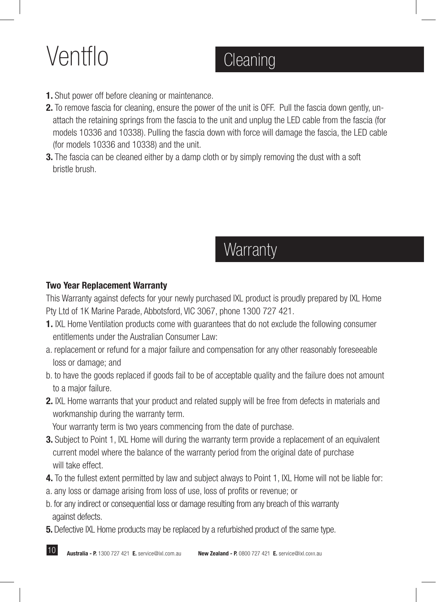# Ventflo Cleaning

- 1. Shut power off before cleaning or maintenance.
- 2. To remove fascia for cleaning, ensure the power of the unit is OFF. Pull the fascia down gently, un attach the retaining springs from the fascia to the unit and unplug the LED cable from the fascia (for models 10336 and 10338). Pulling the fascia down with force will damage the fascia, the LED cable (for models 10336 and 10338) and the unit.
- 3. The fascia can be cleaned either by a damp cloth or by simply removing the dust with a soft bristle brush.

## **Warranty**

### Two Year Replacement Warranty

10

This Warranty against defects for your newly purchased IXL product is proudly prepared by IXL Home Pty Ltd of 1K Marine Parade, Abbotsford, VIC 3067, phone 1300 727 421.

- 1. IXL Home Ventilation products come with guarantees that do not exclude the following consumer entitlements under the Australian Consumer Law:
- a. replacement or refund for a major failure and compensation for any other reasonably foreseeable loss or damage; and
- b. to have the goods replaced if goods fail to be of acceptable quality and the failure does not amount to a major failure.
- 2. IXL Home warrants that your product and related supply will be free from defects in materials and workmanship during the warranty term.

Your warranty term is two years commencing from the date of purchase.

- **3.** Subject to Point 1, IXL Home will during the warranty term provide a replacement of an equivalent current model where the balance of the warranty period from the original date of purchase will take effect.
- 4. To the fullest extent permitted by law and subject always to Point 1, IXL Home will not be liable for:
- a. any loss or damage arising from loss of use, loss of profits or revenue; or
- b. for any indirect or consequential loss or damage resulting from any breach of this warranty against defects.
- **5.** Defective IXL Home products may be replaced by a refurbished product of the same type.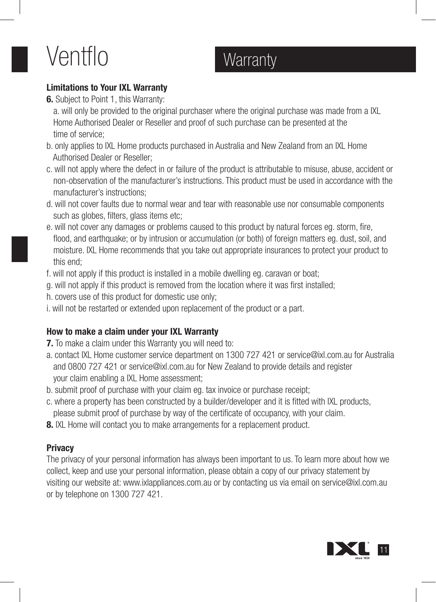# Ventflo Warranty

### Limitations to Your IXL Warranty

6. Subject to Point 1, this Warranty:

 a. will only be provided to the original purchaser where the original purchase was made from a IXL Home Authorised Dealer or Reseller and proof of such purchase can be presented at the time of service;

- b. only applies to IXL Home products purchased in Australia and New Zealand from an IXL Home Authorised Dealer or Reseller;
- c. will not apply where the defect in or failure of the product is attributable to misuse, abuse, accident or non-observation of the manufacturer's instructions. This product must be used in accordance with the manufacturer's instructions;
- d. will not cover faults due to normal wear and tear with reasonable use nor consumable components such as globes, filters, glass items etc;
- e. will not cover any damages or problems caused to this product by natural forces eg. storm, fire, flood, and earthquake; or by intrusion or accumulation (or both) of foreign matters eg. dust, soil, and moisture. IXL Home recommends that you take out appropriate insurances to protect your product to this end;
- f. will not apply if this product is installed in a mobile dwelling eg. caravan or boat;
- g. will not apply if this product is removed from the location where it was first installed;
- h. covers use of this product for domestic use only;
- i. will not be restarted or extended upon replacement of the product or a part.

### How to make a claim under your IXL Warranty

- **7.** To make a claim under this Warranty you will need to:
- a. contact IXL Home customer service department on 1300 727 421 or service@ixl.com.au for Australia and 0800 727 421 or service@ixl.com.au for New Zealand to provide details and register your claim enabling a IXL Home assessment;
- b. submit proof of purchase with your claim eg. tax invoice or purchase receipt;
- c. where a property has been constructed by a builder/developer and it is fitted with IXL products, please submit proof of purchase by way of the certificate of occupancy, with your claim.
- **8.** IXL Home will contact you to make arrangements for a replacement product.

### **Privacy**

The privacy of your personal information has always been important to us. To learn more about how we collect, keep and use your personal information, please obtain a copy of our privacy statement by visiting our website at: www.ixlappliances.com.au or by contacting us via email on service@ixl.com.au or by telephone on 1300 727 421.